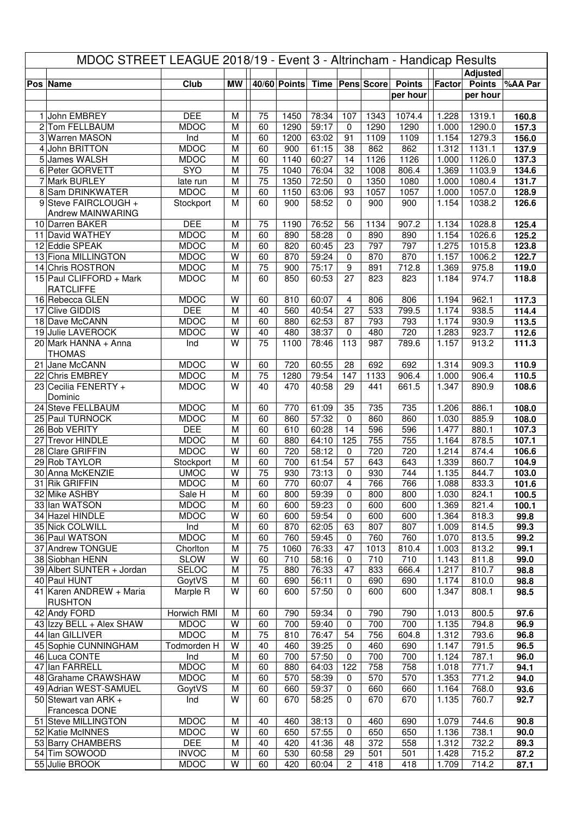| MDOC STREET LEAGUE 2018/19 - Event 3 - Altrincham - Handicap Results |                                              |                            |           |                 |                              |                |                            |            |               |                |                 |                |
|----------------------------------------------------------------------|----------------------------------------------|----------------------------|-----------|-----------------|------------------------------|----------------|----------------------------|------------|---------------|----------------|-----------------|----------------|
|                                                                      |                                              |                            |           |                 |                              |                |                            |            |               |                | <b>Adjusted</b> |                |
|                                                                      | Pos Name                                     | Club                       | <b>MW</b> |                 | 40/60 Points Time Pens Score |                |                            |            | <b>Points</b> |                | Factor Points   | %AA Par        |
|                                                                      |                                              |                            |           |                 |                              |                |                            |            | per hour      |                | per hour        |                |
| $\mathbf{1}$                                                         | John EMBREY                                  | <b>DEE</b>                 | M         | 75              | 1450                         | 78:34          | 107                        | 1343       | 1074.4        | 1.228          | 1319.1          | 160.8          |
|                                                                      | 2 Tom FELLBAUM                               | <b>MDOC</b>                | M         | 60              | 1290                         | 59:17          | 0                          | 1290       | 1290          | 1.000          | 1290.0          | 157.3          |
|                                                                      | 3 Warren MASON                               | Ind                        | M         | 60              | 1200                         | 63:02          | 91                         | 1109       | 1109          | 1.154          | 1279.3          | 156.0          |
|                                                                      | 4 John BRITTON                               | <b>MDOC</b>                | M         | 60              | 900                          | 61:15          | 38                         | 862        | 862           | 1.312          | 1131.1          | 137.9          |
|                                                                      | 5 James WALSH                                | <b>MDOC</b>                | M         | 60              | 1140                         | 60:27          | 14                         | 1126       | 1126          | 1.000          | 1126.0          | 137.3          |
|                                                                      | 6 Peter GORVETT                              | SYO                        | M         | 75              | 1040                         | 76:04          | 32                         | 1008       | 806.4         | 1.369          | 1103.9          | 134.6          |
| $\overline{7}$                                                       | <b>Mark BURLEY</b>                           | late run                   | M         | 75              | 1350                         | 72:50          | 0                          | 1350       | 1080          | 1.000          | 1080.4          | 131.7          |
|                                                                      | 8 Sam DRINKWATER<br>9 Steve FAIRCLOUGH +     | <b>MDOC</b>                | M         | 60              | 1150                         | 63:06          | 93                         | 1057       | 1057<br>900   | 1.000          | 1057.0          | 128.9          |
|                                                                      | Andrew MAINWARING                            | Stockport                  | M         | 60              | 900                          | 58:52          | $\mathbf 0$                | 900        |               | 1.154          | 1038.2          | 126.6          |
|                                                                      | 10 Darren BAKER                              | <b>DEE</b>                 | M         | 75              | 1190                         | 76:52          | 56                         | 1134       | 907.2         | 1.134          | 1028.8          | 125.4          |
|                                                                      | 11 David WATHEY                              | <b>MDOC</b>                | M         | 60              | 890                          | 58:28          | $\mathbf 0$                | 890        | 890           | 1.154          | 1026.6          | 125.2          |
|                                                                      | 12 Eddie SPEAK                               | <b>MDOC</b>                | M         | 60              | 820                          | 60:45          | 23                         | 797        | 797           | 1.275          | 1015.8          | 123.8          |
|                                                                      | 13 Fiona MILLINGTON                          | <b>MDOC</b>                | W         | 60              | 870                          | 59:24          | 0                          | 870        | 870           | 1.157          | 1006.2          | 122.7          |
|                                                                      | 14 Chris ROSTRON                             | <b>MDOC</b>                | M         | 75              | 900                          | 75:17          | $\boldsymbol{9}$           | 891        | 712.8         | 1.369          | 975.8           | 119.0          |
|                                                                      | 15 Paul CLIFFORD + Mark<br><b>RATCLIFFE</b>  | <b>MDOC</b>                | M         | 60              | 850                          | 60:53          | 27                         | 823        | 823           | 1.184          | 974.7           | 118.8          |
|                                                                      | 16 Rebecca GLEN                              | <b>MDOC</b>                | W         | 60              | 810                          | 60:07          | $\overline{4}$             | 806        | 806           | 1.194          | 962.1           | 117.3          |
|                                                                      | 17 Clive GIDDIS                              | <b>DEE</b>                 | M         | 40              | 560                          | 40:54          | 27                         | 533        | 799.5         | 1.174          | 938.5           | 114.4          |
|                                                                      | 18 Dave McCANN                               | <b>MDOC</b>                | M         | 60              | 880                          | 62:53          | 87                         | 793        | 793           | 1.174          | 930.9           | 113.5          |
|                                                                      | 19 Julie LAVEROCK                            | <b>MDOC</b>                | W         | 40              | 480                          | 38:37          | 0                          | 480        | 720           | 1.283          | 923.7           | 112.6          |
|                                                                      | 20 Mark HANNA + Anna<br><b>THOMAS</b>        | Ind                        | W         | 75              | 1100                         | 78:46          | 113                        | 987        | 789.6         | 1.157          | 913.2           | 111.3          |
|                                                                      | 21 Jane McCANN                               | <b>MDOC</b>                | W         | 60              | 720                          | 60:55          | 28                         | 692        | 692           | 1.314          | 909.3           | 110.9          |
|                                                                      | 22 Chris EMBREY                              | <b>MDOC</b>                | M         | 75              | 1280                         | 79:54          | 147                        | 1133       | 906.4         | 1.000          | 906.4           | 110.5          |
|                                                                      | 23 Cecilia FENERTY +                         | <b>MDOC</b>                | W         | 40              | 470                          | 40:58          | 29                         | 441        | 661.5         | 1.347          | 890.9           | 108.6          |
|                                                                      | Dominic                                      |                            |           |                 |                              |                |                            |            |               |                |                 |                |
|                                                                      | 24 Steve FELLBAUM<br>25 Paul TURNOCK         | <b>MDOC</b><br><b>MDOC</b> | M<br>M    | 60<br>60        | 770<br>860                   | 61:09<br>57:32 | 35<br>$\mathbf 0$          | 735<br>860 | 735<br>860    | 1.206<br>1.030 | 886.1<br>885.9  | 108.0<br>108.0 |
|                                                                      | 26 Bob VERITY                                | <b>DEE</b>                 | M         | 60              | 610                          | 60:28          | 14                         | 596        | 596           | 1.477          | 880.1           | 107.3          |
|                                                                      | 27 Trevor HINDLE                             | <b>MDOC</b>                | M         | 60              | 880                          | 64:10          | 125                        | 755        | 755           | 1.164          | 878.5           | 107.1          |
|                                                                      | 28 Clare GRIFFIN                             | <b>MDOC</b>                | W         | 60              | 720                          | 58:12          | $\mathbf 0$                | 720        | 720           | 1.214          | 874.4           | 106.6          |
|                                                                      | 29 Rob TAYLOR                                | Stockport                  | M         | 60              | 700                          | 61:54          | 57                         | 643        | 643           | 1.339          | 860.7           | 104.9          |
|                                                                      | 30 Anna McKENZIE                             | <b>UMOC</b>                | W         | $\overline{75}$ | 930                          | 73:13          | $\mathbf 0$                | 930        | 744           | 1.135          | 844.7           | 103.0          |
|                                                                      | 31 Rik GRIFFIN                               | <b>MDOC</b>                | M         | 60              | 770                          | 60:07          | $\overline{4}$             | 766        | 766           | 1.088          | 833.3           | 101.6          |
|                                                                      | 32 Mike ASHBY<br>33 Ian WATSON               | Sale H<br><b>MDOC</b>      | M<br>M    | 60<br>60        | 800<br>600                   | 59:39<br>59:23 | 0<br>$\mathbf 0$           | 800<br>600 | 800<br>600    | 1.030          | 824.1           | 100.5          |
|                                                                      | 34 Hazel HINDLE                              | <b>MDOC</b>                | W         | 60              | 600                          | 59:54          | 0                          | 600        | 600           | 1.369<br>1.364 | 821.4<br>818.3  | 100.1<br>99.8  |
|                                                                      | 35 Nick COLWILL                              | Ind                        | M         | 60              | 870                          | 62:05          | 63                         | 807        | 807           | 1.009          | 814.5           | 99.3           |
|                                                                      | 36 Paul WATSON                               | <b>MDOC</b>                | M         | 60              | 760                          | 59:45          | 0                          | 760        | 760           | 1.070          | 813.5           | 99.2           |
|                                                                      | 37 Andrew TONGUE                             | Chorlton                   | M         | 75              | 1060                         | 76:33          | 47                         | 1013       | 810.4         | 1.003          | 813.2           | 99.1           |
|                                                                      | 38 Siobhan HENN                              | <b>SLOW</b>                | W         | 60              | 710                          | 58:16          | 0                          | 710        | 710           | 1.143          | 811.8           | 99.0           |
|                                                                      | 39 Albert SUNTER + Jordan                    | <b>SELOC</b>               | M         | 75              | 880                          | 76:33          | 47                         | 833        | 666.4         | 1.217          | 810.7           | 98.8           |
|                                                                      | 40 Paul HUNT<br>41 Karen ANDREW + Maria      | GoytVS                     | M<br>W    | 60<br>60        | 690                          | 56:11          | $\mathbf 0$<br>$\mathbf 0$ | 690        | 690<br>600    | 1.174<br>1.347 | 810.0           | 98.8           |
|                                                                      | <b>RUSHTON</b>                               | Marple R                   |           |                 | 600                          | 57:50          |                            | 600        |               |                | 808.1           | 98.5           |
|                                                                      | 42 Andy FORD                                 | Horwich RMI                | M         | 60              | 790                          | 59:34          | 0                          | 790        | 790           | 1.013          | 800.5           | 97.6           |
|                                                                      | 43 Izzy BELL + Alex SHAW                     | <b>MDOC</b>                | W         | 60              | 700                          | 59:40          | 0                          | 700        | 700           | 1.135          | 794.8           | 96.9           |
|                                                                      | 44 Ian GILLIVER                              | <b>MDOC</b>                | M         | 75              | 810                          | 76:47          | 54                         | 756        | 604.8         | 1.312          | 793.6           | 96.8           |
|                                                                      | 45 Sophie CUNNINGHAM                         | Todmorden H                | W         | 40              | 460                          | 39:25          | 0                          | 460        | 690           | 1.147          | 791.5           | 96.5           |
|                                                                      | 46 Luca CONTE                                | Ind                        | M         | 60              | 700                          | 57:50          | 0                          | 700        | 700           | 1.124          | 787.1           | 96.0           |
|                                                                      | 47 Ian FARRELL                               | <b>MDOC</b><br><b>MDOC</b> | M         | 60<br>60        | 880                          | 64:03          | 122                        | 758<br>570 | 758<br>570    | 1.018          | 771.7<br>771.2  | 94.1           |
|                                                                      | 48 Grahame CRAWSHAW<br>49 Adrian WEST-SAMUEL | GoytVS                     | M<br>M    | 60              | 570<br>660                   | 58:39<br>59:37 | $\mathbf 0$<br>0           | 660        | 660           | 1.353<br>1.164 | 768.0           | 94.0<br>93.6   |
|                                                                      | 50 Stewart van ARK +                         | Ind                        | W         | 60              | 670                          | 58:25          | 0                          | 670        | 670           | 1.135          | 760.7           | 92.7           |
|                                                                      | Francesca DONE                               |                            |           |                 |                              |                |                            |            |               |                |                 |                |
|                                                                      | 51 Steve MILLINGTON                          | <b>MDOC</b>                | M         | 40              | 460                          | 38:13          | 0                          | 460        | 690           | 1.079          | 744.6           | 90.8           |
|                                                                      | 52 Katie McINNES                             | <b>MDOC</b>                | W         | 60              | 650                          | 57:55          | 0                          | 650        | 650           | 1.136          | 738.1           | 90.0           |
|                                                                      | 53 Barry CHAMBERS                            | <b>DEE</b>                 | M         | 40              | 420                          | 41:36          | 48                         | 372        | 558           | 1.312          | 732.2           | 89.3           |
|                                                                      | 54 Tim SOWOOD                                | <b>INVOC</b>               | M         | 60              | 530                          | 60:58          | 29                         | 501        | 501           | 1.428          | 715.2           | 87.2           |
|                                                                      | 55 Julie BROOK                               | <b>MDOC</b>                | W         | 60              | 420                          | 60:04          | $\overline{c}$             | 418        | 418           | 1.709          | 714.2           | 87.1           |